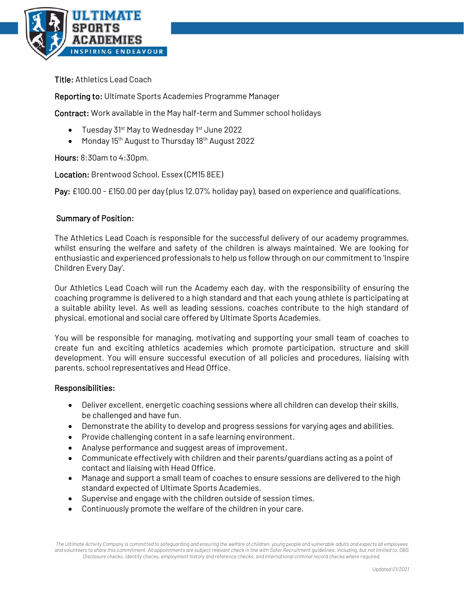

Title: Athletics Lead Coach

Reporting to: Ultimate Sports Academies Programme Manager

Contract: Work available in the May half-term and Summer school holidays

- Tuesday 31<sup>st</sup> May to Wednesday 1<sup>st</sup> June 2022
- Monday 15<sup>th</sup> August to Thursday 18<sup>th</sup> August 2022

Hours: 8:30am to 4:30pm.

Location: Brentwood School, Essex (CM15 8EE)

Pay: £100.00 - £150.00 per day (plus 12.07% holiday pay), based on experience and qualifications.

## Summary of Position:

The Athletics Lead Coach is responsible for the successful delivery of our academy programmes, whilst ensuring the welfare and safety of the children is always maintained. We are looking for enthusiastic and experienced professionals to help us follow through on our commitment to 'Inspire Children Every Day'.

Our Athletics Lead Coach will run the Academy each day, with the responsibility of ensuring the coaching programme is delivered to a high standard and that each young athlete is participating at a suitable ability level. As well as leading sessions, coaches contribute to the high standard of physical, emotional and social care offered by Ultimate Sports Academies.

You will be responsible for managing, motivating and supporting your small team of coaches to create fun and exciting athletics academies which promote participation, structure and skill development. You will ensure successful execution of all policies and procedures, liaising with parents, school representatives and Head Office.

## Responsibilities:

- Deliver excellent, energetic coaching sessions where all children can develop their skills, be challenged and have fun.
- Demonstrate the ability to develop and progress sessions for varying ages and abilities.
- Provide challenging content in a safe learning environment.
- Analyse performance and suggest areas of improvement.
- Communicate effectively with children and their parents/guardians acting as a point of contact and liaising with Head Office.
- Manage and support a small team of coaches to ensure sessions are delivered to the high standard expected of Ultimate Sports Academies.
- Supervise and engage with the children outside of session times.
- Continuously promote the welfare of the children in your care.